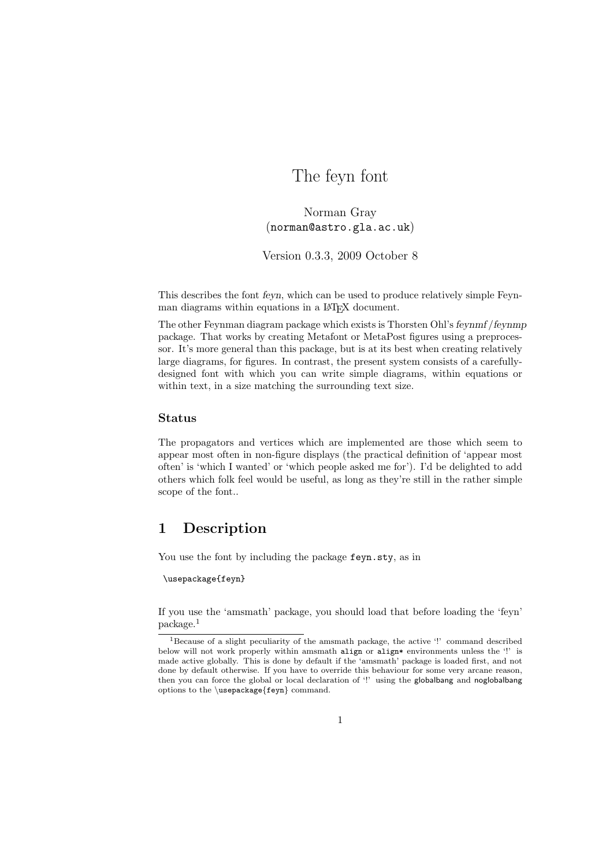# The feyn font

Norman Gray (norman@astro.gla.ac.uk)

Version 0.3.3, 2009 October 8

This describes the font feyn, which can be used to produce relatively simple Feynman diagrams within equations in a LAT<sub>EX</sub> document.

The other Feynman diagram package which exists is Thorsten Ohl's feynmf /feynmp package. That works by creating Metafont or MetaPost figures using a preprocessor. It's more general than this package, but is at its best when creating relatively large diagrams, for figures. In contrast, the present system consists of a carefullydesigned font with which you can write simple diagrams, within equations or within text, in a size matching the surrounding text size.

#### Status

The propagators and vertices which are implemented are those which seem to appear most often in non-figure displays (the practical definition of 'appear most often' is 'which I wanted' or 'which people asked me for'). I'd be delighted to add others which folk feel would be useful, as long as they're still in the rather simple scope of the font..

## 1 Description

You use the font by including the package feyn.sty, as in

\usepackage{feyn}

If you use the 'amsmath' package, you should load that before loading the 'feyn' package.<sup>1</sup>

<sup>&</sup>lt;sup>1</sup>Because of a slight peculiarity of the amsmath package, the active '!' command described below will not work properly within amsmath align or align\* environments unless the '!' is made active globally. This is done by default if the 'amsmath' package is loaded first, and not done by default otherwise. If you have to override this behaviour for some very arcane reason, then you can force the global or local declaration of '!' using the globalbang and noglobalbang options to the \usepackage{feyn} command.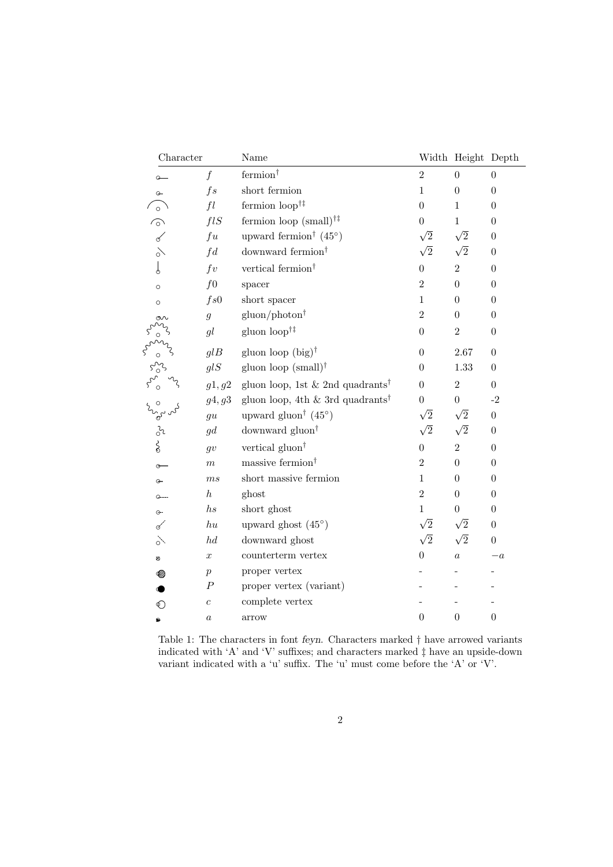|           | Character      |                            | Name                                         |                  | Width Height Depth |                  |
|-----------|----------------|----------------------------|----------------------------------------------|------------------|--------------------|------------------|
|           |                | $\overline{f}$             | fermion <sup>†</sup>                         | $\overline{2}$   | $\overline{0}$     | $\overline{0}$   |
|           | $\circ$        | fs                         | $short\ fermion$                             | $\mathbf{1}$     | $\boldsymbol{0}$   | $\boldsymbol{0}$ |
|           | $\Omega$       | fl                         | fermion $loop^{\dagger\ddagger}$             | $\boldsymbol{0}$ | $\mathbf{1}$       | $\overline{0}$   |
|           | $\sqrt{\circ}$ | flS                        | fermion loop (small) $^{\dagger\ddagger}$    | $\overline{0}$   | $\mathbf{1}$       | $\boldsymbol{0}$ |
|           | $\sim$         | f u                        | upward fermion <sup>†</sup> $(45^{\circ})$   | $\sqrt{2}$       | $\sqrt{2}$         | $\boldsymbol{0}$ |
|           |                | fd                         | downward fermion <sup>†</sup>                | $\sqrt{2}$       | $\sqrt{2}$         | $\boldsymbol{0}$ |
|           | f              | $f\mathcal{v}$             | vertical fermion $^\dagger$                  | $\overline{0}$   | $\overline{2}$     | $\boldsymbol{0}$ |
|           | $\circ$        | $f_{0}$                    | spacer                                       | $\overline{2}$   | $\boldsymbol{0}$   | $\boldsymbol{0}$ |
|           | $\circ$        | fs0                        | short spacer                                 | $\mathbf{1}$     | $\boldsymbol{0}$   | $\boldsymbol{0}$ |
|           |                | $\mathfrak g$              | $gluon/photon^{\dagger}$                     | $\overline{2}$   | $\boldsymbol{0}$   | $\boldsymbol{0}$ |
|           |                | gl                         | gluon $loop^{\dagger\ddagger}$               | $\boldsymbol{0}$ | $\sqrt{2}$         | $\boldsymbol{0}$ |
|           |                | glB                        | gluon loop $(big)^\dagger$                   | $\overline{0}$   | $2.67\,$           | $\overline{0}$   |
|           |                | glS                        | gluon loop $(small)$ <sup>†</sup>            | 0                | 1.33               | $\theta$         |
|           | ng ng ng       | g1, g2                     | gluon loop, 1st & 2nd quadrants <sup>†</sup> | $\overline{0}$   | $\sqrt{2}$         | $\overline{0}$   |
| avente de |                | $g_4, g_3$                 | gluon loop, 4th & 3rd quadrants <sup>†</sup> | $\overline{0}$   | $\boldsymbol{0}$   | $-2$             |
|           |                | gu                         | upward gluon <sup>†</sup> $(45^{\circ})$     | $\sqrt{2}$       | $\sqrt{2}$         | $\boldsymbol{0}$ |
|           |                | gd                         | downward gluon <sup>†</sup>                  | $\sqrt{2}$       | $\sqrt{2}$         | $\boldsymbol{0}$ |
|           |                | $g\overline{v}$            | vertical gluon <sup>†</sup>                  | $\boldsymbol{0}$ | $\overline{2}$     | $\boldsymbol{0}$ |
|           | ⊕              | $\boldsymbol{m}$           | massive fermion <sup>†</sup>                 | $\overline{2}$   | $\theta$           | $\overline{0}$   |
|           | $\circ$        | ms                         | short massive fermion                        | $\mathbf{1}$     | $\theta$           | $\overline{0}$   |
|           | $O-$           | $\boldsymbol{h}$           | ghost                                        | $\overline{2}$   | $\theta$           | $\boldsymbol{0}$ |
|           | $\Theta$       | $\mathfrak{h}\mathfrak{s}$ | short ghost                                  | $\mathbf{1}$     | $\theta$           | $\boldsymbol{0}$ |
|           | ∝              | h u                        | upward ghost $(45^{\circ})$                  | $\sqrt{2}$       | $\sqrt{2}$         | $\boldsymbol{0}$ |
|           | े              | hd                         | downward ghost                               |                  |                    | $\boldsymbol{0}$ |
|           | ø              | $\boldsymbol{x}$           | $\mathop{\textup{counterterm}}$ vertex       | $\boldsymbol{0}$ | $\boldsymbol{a}$   | $-a$             |
|           | ∞              | $\boldsymbol{p}$           | proper vertex                                |                  |                    |                  |
|           |                | $\boldsymbol{P}$           | proper vertex (variant)                      |                  |                    |                  |
|           | ல              | $\overline{c}$             | complete vertex                              |                  |                    |                  |
|           | $\bullet$      | $\boldsymbol{a}$           | arrow                                        | $\theta$         | $\theta$           | $\boldsymbol{0}$ |

Table 1: The characters in font feyn. Characters marked † have arrowed variants indicated with 'A' and 'V' suffixes; and characters marked ‡ have an upside-down variant indicated with a 'u' suffix. The 'u' must come before the 'A' or 'V'.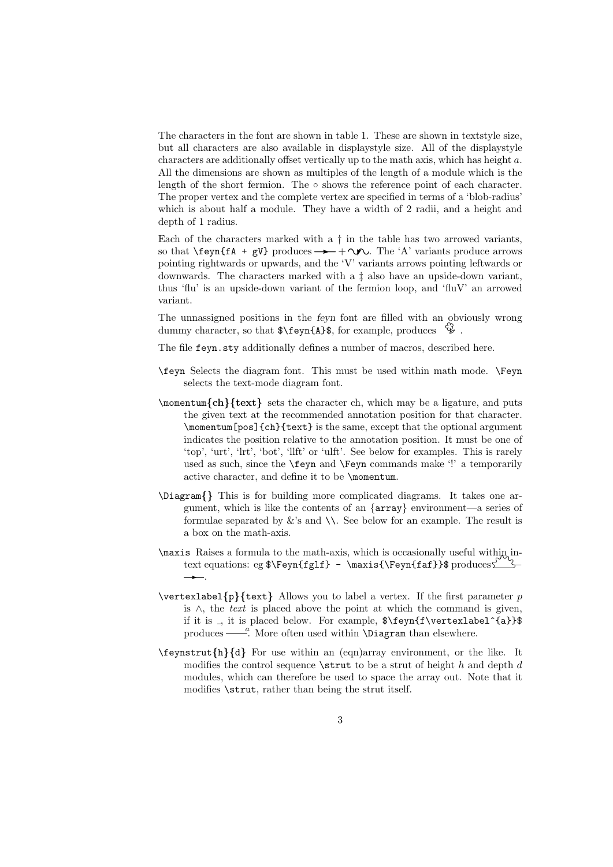The characters in the font are shown in table 1. These are shown in textstyle size, but all characters are also available in displaystyle size. All of the displaystyle characters are additionally offset vertically up to the math axis, which has height a. All the dimensions are shown as multiples of the length of a module which is the length of the short fermion. The  $\circ$  shows the reference point of each character. The proper vertex and the complete vertex are specified in terms of a 'blob-radius' which is about half a module. They have a width of 2 radii, and a height and depth of 1 radius.

Each of the characters marked with a  $\dagger$  in the table has two arrowed variants, so that  $\text{SymffA + gV}$  produces  $\rightarrow +\infty$ . The 'A' variants produce arrows pointing rightwards or upwards, and the 'V' variants arrows pointing leftwards or downwards. The characters marked with a ‡ also have an upside-down variant, thus 'flu' is an upside-down variant of the fermion loop, and 'fluV' an arrowed variant.

The unnassigned positions in the feyn font are filled with an obviously wrong dummy character, so that  $\f{A}\$ , for example, produces  $\mathcal{G}$ .

The file feyn.sty additionally defines a number of macros, described here.

- \feyn Selects the diagram font. This must be used within math mode. \Feyn selects the text-mode diagram font.
- \momentum{ch}{text} sets the character ch, which may be a ligature, and puts the given text at the recommended annotation position for that character. \momentum[pos]{ch}{text} is the same, except that the optional argument indicates the position relative to the annotation position. It must be one of 'top', 'urt', 'lrt', 'bot', 'llft' or 'ulft'. See below for examples. This is rarely used as such, since the \feyn and \Feyn commands make '!' a temporarily active character, and define it to be \momentum.
- \Diagram{} This is for building more complicated diagrams. It takes one argument, which is like the contents of an {array} environment—a series of formulae separated by  $&$ 's and  $\setminus\setminus$ . See below for an example. The result is a box on the math-axis.
- \maxis Raises a formula to the math-axis, which is occasionally useful within intext equations: eg \$\Feyn{fglf} - \maxis{\Feyn{faf}}\$ produces f  $\rightarrow$ .
- $\verb|\vertexlabel{p}{text}$  Allows you to label a vertex. If the first parameter p is ∧, the text is placed above the point at which the command is given, if it is  $\Box$ , it is placed below. For example,  $\{\equiv \frac{f}{\vert \text{vertexlabel}^a\vert} \}$ produces  $\frac{a}{b}$ . More often used within \Diagram than elsewhere.
- $\begin{bmatrix} \n\text{th}(h) \neq \n\end{bmatrix}$  For use within an (eqn)array environment, or the like. It modifies the control sequence  $\text{strut}$  to be a strut of height h and depth d modules, which can therefore be used to space the array out. Note that it modifies \strut, rather than being the strut itself.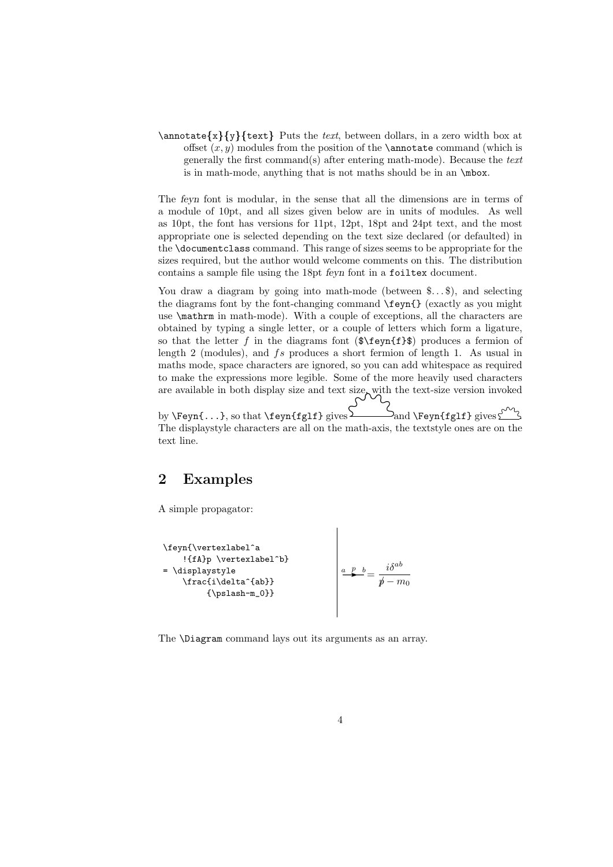$\lambda$  \annotate{x}{y}{text} Puts the text, between dollars, in a zero width box at offset  $(x, y)$  modules from the position of the **\annotate** command (which is generally the first command(s) after entering math-mode). Because the text is in math-mode, anything that is not maths should be in an \mbox.

The feyn font is modular, in the sense that all the dimensions are in terms of a module of 10pt, and all sizes given below are in units of modules. As well as 10pt, the font has versions for 11pt, 12pt, 18pt and 24pt text, and the most appropriate one is selected depending on the text size declared (or defaulted) in the \documentclass command. This range of sizes seems to be appropriate for the sizes required, but the author would welcome comments on this. The distribution contains a sample file using the 18pt feyn font in a foiltex document.

You draw a diagram by going into math-mode (between  $\ldots$ ), and selecting the diagrams font by the font-changing command \feyn{} (exactly as you might use \mathrm in math-mode). With a couple of exceptions, all the characters are obtained by typing a single letter, or a couple of letters which form a ligature, so that the letter f in the diagrams font  $(\frac{\hat{t}}{\sqrt{f}})$  produces a fermion of length 2 (modules), and fs produces a short fermion of length 1. As usual in maths mode, space characters are ignored, so you can add whitespace as required to make the expressions more legible. Some of the more heavily used characters are available in both display size and text size, with the text-size version invoked

by  $\Feyn{...}$ , so that  $\feyn{fgl}$  gives  $\frac{\sum_{i=1}^{n}f_{i}}{n}$  and  $\Feyn{fgl}$  gives  $\frac{\sum_{i=1}^{n}f_{i}}{n}$ The displaystyle characters are all on the math-axis, the textstyle ones are on the text line.

 $\overline{\phantom{a}}$ 

# 2 Examples

A simple propagator:

\feyn{\vertexlabel^a !{fA}p \vertexlabel^b} iδab <sup>a</sup>F<sup>p</sup> <sup>b</sup><sup>=</sup> = \displaystyle p/ − m<sup>0</sup> \frac{i\delta^{ab}} {\pslash-m\_0}} 

The \Diagram command lays out its arguments as an array.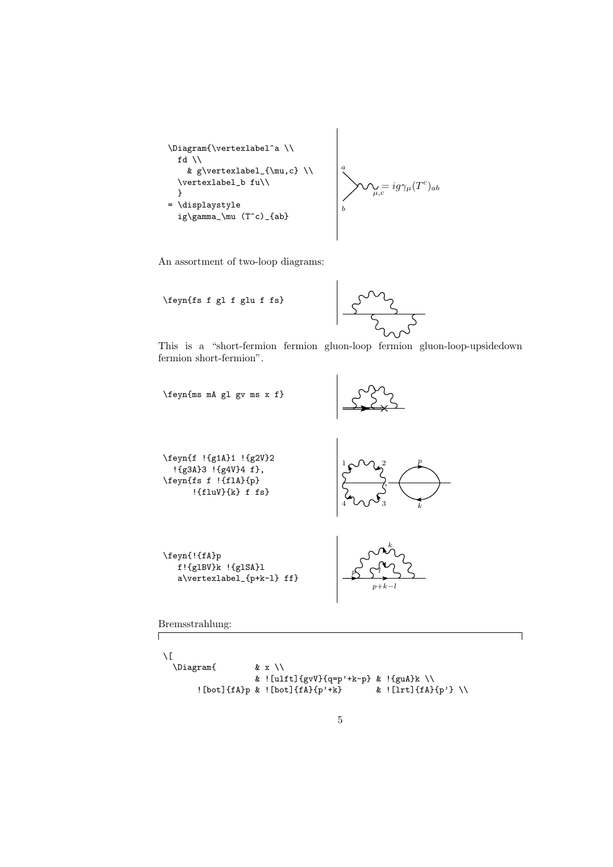\Diagram{\vertexlabel^a \\ fd \\ a & g\vertexlabel\_{\mu,c} \\ \vertexlabel\_b fu\\ dg c = igγµ(T )ab } µ,c e = \displaystyle b ig\gamma\_\mu (T^c)\_{ab}

An assortment of two-loop diagrams:

\feyn{fs f gl f glu f fs}



This is a "short-fermion fermion gluon-loop fermion gluon-loop-upsidedown fermion short-fermion".

 $\overline{\phantom{a}}$ 



Bremsstrahlung:

 $\Gamma$ 

```
\setminus[
  \Delta \Diagram{ & x \\
                       & ! [ulft]{gvV}{q=p' + k-p} & !{guA}{k \ \ \!\backslash\ }! [bot]{fA}p & ! [bot]{fA}{p'+k} & ! [lrt]{fA}{p'} \\
```
Ī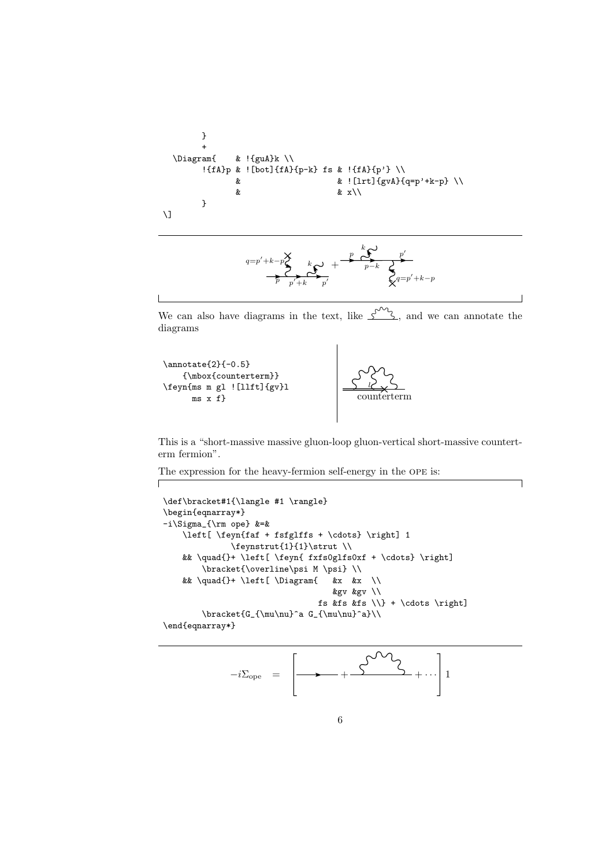```
}
                +
   \Diagram{ & !{guA}k \\
                !{fA}p & ![bot]{fA}{p-k} fs & !{fA}{p'} \\
                              & \begin{array}{ccc}\n\& \text{if } \text{Int}\text{lgvA} \text{d}=p' + k - p\n\end{array} \quad \begin{array}{c}\n\& \text{x} \\
\& \text{x}\n\end{array}& x \backslash \backslash}
\setminus]
```

$$
\underbrace{q=p'+k-p\mathbf{y}}_{p-p'+k}\underbrace{k\mathbf{y}}_{p'} + \underbrace{\underbrace{p\mathbf{y}\mathbf{y}}_{p-k}\mathbf{y}}_{p-k}\underbrace{p'}_{\mathbf{y}q=p'+k-p}
$$

We can also have diagrams in the text, like  $\mathcal{L}^{\mathcal{M}}\mathcal{L}$ , and we can annotate the diagrams

```
\annotate{2}{-0.5}
   {\mbox{counterterm}}
\feyn{ms m gl ![llft]{gv}l
    ms x f} counterterm
                             \frac{1}{2}
```
 $\overline{\phantom{a}}$ 

 $\Gamma$ 

This is a "short-massive massive gluon-loop gluon-vertical short-massive counterterm fermion".

The expression for the heavy-fermion self-energy in the ope is:

```
\def\bracket#1{\langle #1 \rangle}
\begin{eqnarray*}
-i\Sigma_{\rm ope} &=&
    \left[ \feyn{faf + fsfglffs + \cdots} \right] 1
              \feynstrut{1}{1}\strut \\
    && \quad{}+ \left[ \feyn{ fxfs0glfs0xf + \cdots} \right]
        \bracket{\overline\psi M \psi} \\
    && \quad{}+ \left[ \Diagram{ &x &x \\
                                     &gv &gv \\
                                 fs &fs &fs \iota + \cdots \right]
        \label{thm:main} $$\bracket_{G_{\mu\nu}^a G_{\mu\nu}^a}\\\\end{eqnarray*}
```
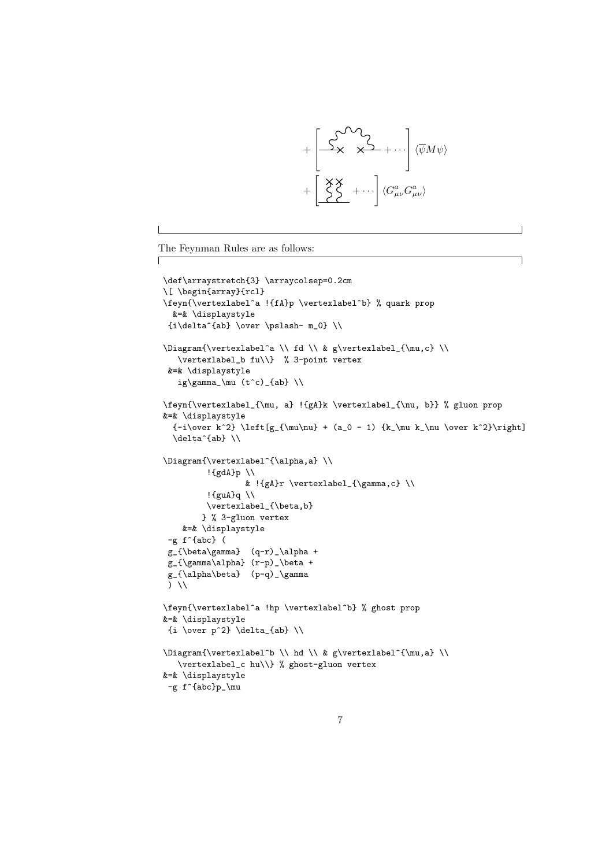

The Feynman Rules are as follows:

 $\sqrt{2}$ 

```
\def\arraystretch{3} \arraycolsep=0.2cm
\[ \begin{array}{rcl}
\feyn{\vertexlabel^a !{fA}p \vertexlabel^b} % quark prop
  &=& \displaystyle
 \{i\delta^{ab} \over \psi - m_0\} \ \}\Diagram{\vertexlabel^a \\ fd \\ & g\vertexlabel_{\mu,c} \\
   \vertexlabel_b fu\\} % 3-point vertex
 &=& \displaystyle
   ig\gamma_\mu (t^c)_{ab} \ \\feyn{\vertexlabel_{\mu, a} !{gA}k \vertexlabel_{\nu, b}} % gluon prop
&=& \displaystyle
  {-i\over k^2} \left[g_{\mu\nu} + (a_0 - 1) \{k_\mu k_\nu \over k^2}\right]\delta^{\alpha^{\alpha}}\Diagram{\vertexlabel^{\alpha,a} \\
         !{gdA}p \\
                 & !{ghr \vert\text{abel}_{\gamma,c}} \ \ \}!{guA}q \\
         \vertexlabel_{\beta,b}
        } % 3-gluon vertex
    &=& \displaystyle
 -g f^{\uparrow}{abc} (
 g_{\beta\gamma} (q-r)_\alpha +
 g_{\gamma\alpha} (r-p)_\beta +
 g_{\alpha\beta} (p-q)_\gamma
 ) \\
\feyn{\vertexlabel^a !hp \vertexlabel^b} % ghost prop
&=& \displaystyle
 \{i \over p^2\} \delta_{ab} \ \backslash\Diagram{\vertexlabel^b \\ hd \\ & g\vertexlabel^{\mu,a} \\
   \vertexlabel_c hu\\} % ghost-gluon vertex
&=& \displaystyle
 -g f^{abc}p_\mu
```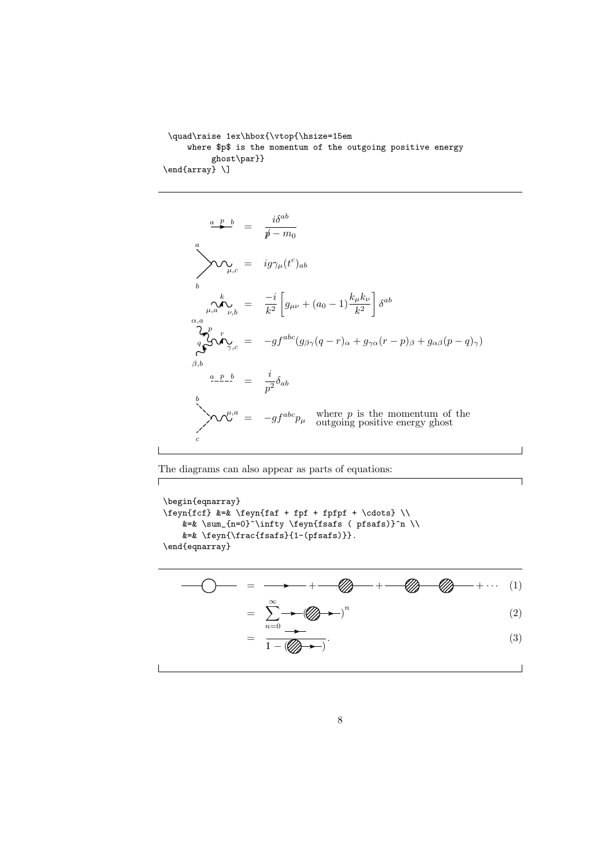```
\quad\raise 1ex\hbox{\vtop{\hsize=15em
    where $p$ is the momentum of the outgoing positive energy
         ghost\par}}
\end{array} \]
```

$$
\frac{a p_b}{\mu} = \frac{i\delta^{ab}}{\psi - m_0}
$$
\n
$$
\sum_{\mu, a} \sum_{\nu, b} = ig\gamma_{\mu}(t^c)_{ab}
$$
\n
$$
\sum_{\substack{a, a \\ \mu, a \\ \mu, a}} \sum_{\substack{b \\ \nu, b}} = \frac{-i}{k^2} \left[ g_{\mu\nu} + (a_0 - 1) \frac{k_{\mu}k_{\nu}}{k^2} \right] \delta^{ab}
$$
\n
$$
\sum_{\substack{a, a \\ \mu, b \\ \mu, b}}^{k} \sum_{\substack{r \\ \nu, c}} = -gf^{abc} (g_{\beta\gamma}(q - r)_{\alpha} + g_{\gamma\alpha}(r - p)_{\beta} + g_{\alpha\beta}(p - q)_{\gamma})
$$
\n
$$
\sum_{\substack{a, b \\ \mu, b}}^{k} = \frac{i}{p^2} \delta_{ab}
$$
\n
$$
\sum_{\substack{b \\ \nu, \nu, a \\ \nu, \nu}}^{\mu, a} = -gf^{abc} p_{\mu} \quad \text{where } p \text{ is the momentum of the outgoing positive energy ghost}
$$

The diagrams can also appear as parts of equations:

 $\Gamma$ 

```
\begin{eqnarray}
\feyn{fcf} &=& \feyn{faf + fpf + fpfpf + \cdots} \\
   &=& \sum_{n=0}^\infty \feyn{fsafs ( pfsafs)}^n \\
    &=& \feyn{\frac{fsafs}{1-(pfsafs)}}.
\end{eqnarray}
```